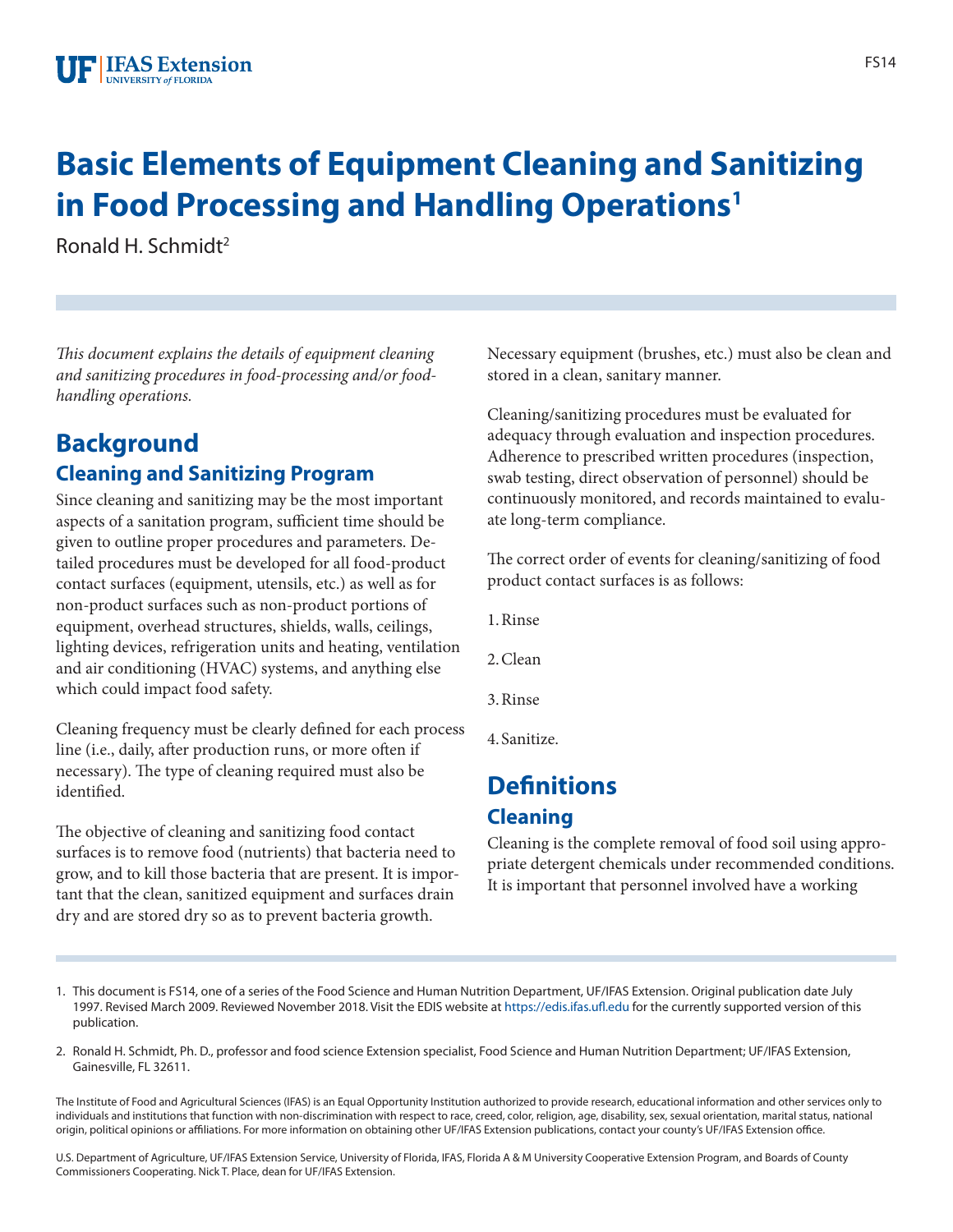#### **FIFAS** Extension **UNIVERSITY of FLORIDA**

# **Basic Elements of Equipment Cleaning and Sanitizing in Food Processing and Handling Operations1**

Ronald H. Schmidt2

*This document explains the details of equipment cleaning and sanitizing procedures in food-processing and/or foodhandling operations.*

# **Background**

## **Cleaning and Sanitizing Program**

Since cleaning and sanitizing may be the most important aspects of a sanitation program, sufficient time should be given to outline proper procedures and parameters. Detailed procedures must be developed for all food-product contact surfaces (equipment, utensils, etc.) as well as for non-product surfaces such as non-product portions of equipment, overhead structures, shields, walls, ceilings, lighting devices, refrigeration units and heating, ventilation and air conditioning (HVAC) systems, and anything else which could impact food safety.

Cleaning frequency must be clearly defined for each process line (i.e., daily, after production runs, or more often if necessary). The type of cleaning required must also be identified.

The objective of cleaning and sanitizing food contact surfaces is to remove food (nutrients) that bacteria need to grow, and to kill those bacteria that are present. It is important that the clean, sanitized equipment and surfaces drain dry and are stored dry so as to prevent bacteria growth.

Necessary equipment (brushes, etc.) must also be clean and stored in a clean, sanitary manner.

Cleaning/sanitizing procedures must be evaluated for adequacy through evaluation and inspection procedures. Adherence to prescribed written procedures (inspection, swab testing, direct observation of personnel) should be continuously monitored, and records maintained to evaluate long-term compliance.

The correct order of events for cleaning/sanitizing of food product contact surfaces is as follows:

- 1.Rinse
- 2.Clean
- 3.Rinse
- 4.Sanitize.

# **Definitions**

## **Cleaning**

Cleaning is the complete removal of food soil using appropriate detergent chemicals under recommended conditions. It is important that personnel involved have a working

- 1. This document is FS14, one of a series of the Food Science and Human Nutrition Department, UF/IFAS Extension. Original publication date July 1997. Revised March 2009. Reviewed November 2018. Visit the EDIS website at<https://edis.ifas.ufl.edu>for the currently supported version of this publication.
- 2. Ronald H. Schmidt, Ph. D., professor and food science Extension specialist, Food Science and Human Nutrition Department; UF/IFAS Extension, Gainesville, FL 32611.

The Institute of Food and Agricultural Sciences (IFAS) is an Equal Opportunity Institution authorized to provide research, educational information and other services only to individuals and institutions that function with non-discrimination with respect to race, creed, color, religion, age, disability, sex, sexual orientation, marital status, national origin, political opinions or affiliations. For more information on obtaining other UF/IFAS Extension publications, contact your county's UF/IFAS Extension office.

U.S. Department of Agriculture, UF/IFAS Extension Service, University of Florida, IFAS, Florida A & M University Cooperative Extension Program, and Boards of County Commissioners Cooperating. Nick T. Place, dean for UF/IFAS Extension.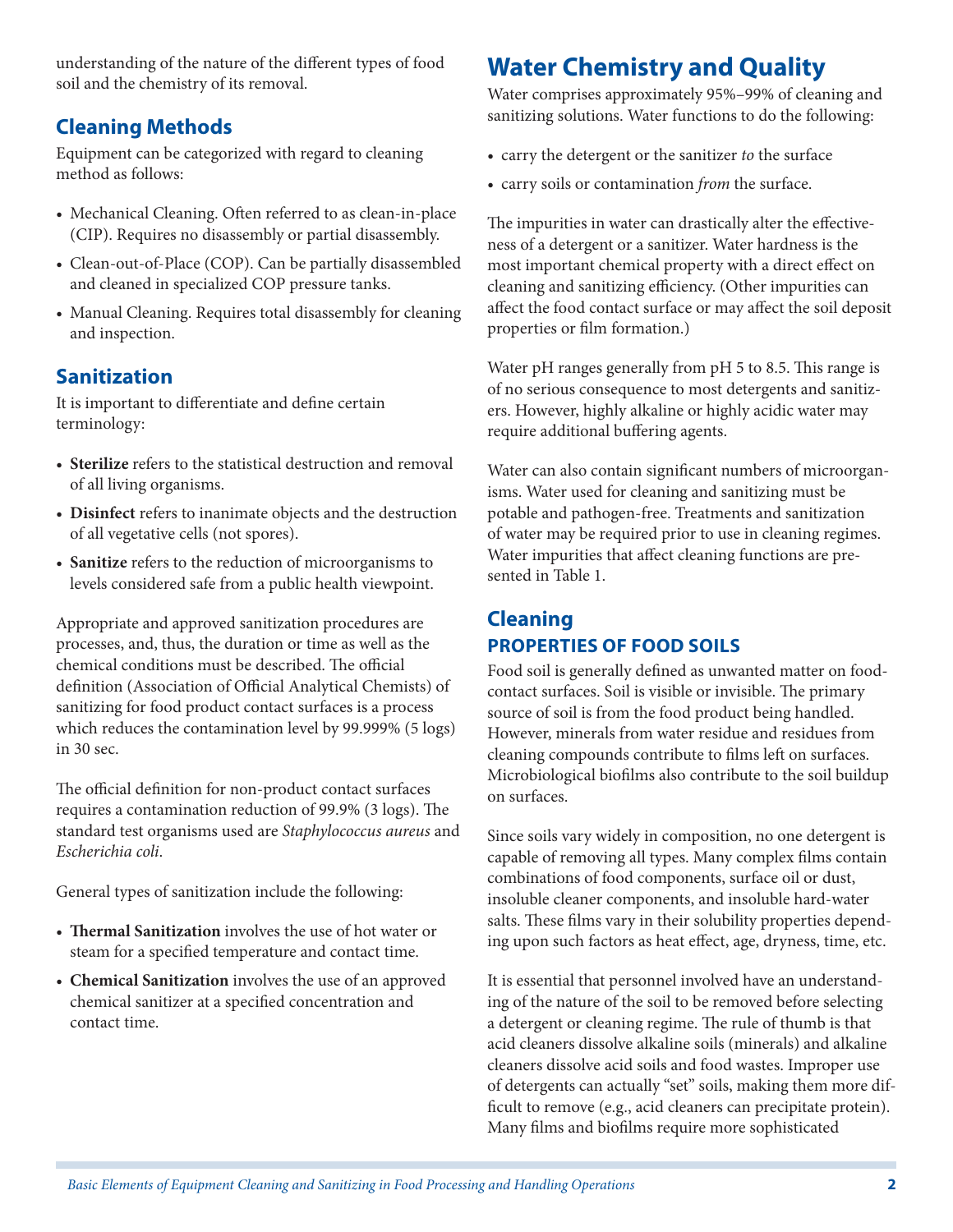understanding of the nature of the different types of food soil and the chemistry of its removal.

## **Cleaning Methods**

Equipment can be categorized with regard to cleaning method as follows:

- Mechanical Cleaning. Often referred to as clean-in-place (CIP). Requires no disassembly or partial disassembly.
- Clean-out-of-Place (COP). Can be partially disassembled and cleaned in specialized COP pressure tanks.
- Manual Cleaning. Requires total disassembly for cleaning and inspection.

## **Sanitization**

It is important to differentiate and define certain terminology:

- **Sterilize** refers to the statistical destruction and removal of all living organisms.
- **Disinfect** refers to inanimate objects and the destruction of all vegetative cells (not spores).
- **Sanitize** refers to the reduction of microorganisms to levels considered safe from a public health viewpoint.

Appropriate and approved sanitization procedures are processes, and, thus, the duration or time as well as the chemical conditions must be described. The official definition (Association of Official Analytical Chemists) of sanitizing for food product contact surfaces is a process which reduces the contamination level by 99.999% (5 logs) in 30 sec.

The official definition for non-product contact surfaces requires a contamination reduction of 99.9% (3 logs). The standard test organisms used are *Staphylococcus aureus* and *Escherichia coli*.

General types of sanitization include the following:

- **Thermal Sanitization** involves the use of hot water or steam for a specified temperature and contact time.
- **Chemical Sanitization** involves the use of an approved chemical sanitizer at a specified concentration and contact time.

# **Water Chemistry and Quality**

Water comprises approximately 95%–99% of cleaning and sanitizing solutions. Water functions to do the following:

- carry the detergent or the sanitizer *to* the surface
- carry soils or contamination *from* the surface.

The impurities in water can drastically alter the effectiveness of a detergent or a sanitizer. Water hardness is the most important chemical property with a direct effect on cleaning and sanitizing efficiency. (Other impurities can affect the food contact surface or may affect the soil deposit properties or film formation.)

Water pH ranges generally from pH 5 to 8.5. This range is of no serious consequence to most detergents and sanitizers. However, highly alkaline or highly acidic water may require additional buffering agents.

Water can also contain significant numbers of microorganisms. Water used for cleaning and sanitizing must be potable and pathogen-free. Treatments and sanitization of water may be required prior to use in cleaning regimes. Water impurities that affect cleaning functions are presented in Table 1.

## **Cleaning PROPERTIES OF FOOD SOILS**

Food soil is generally defined as unwanted matter on foodcontact surfaces. Soil is visible or invisible. The primary source of soil is from the food product being handled. However, minerals from water residue and residues from cleaning compounds contribute to films left on surfaces. Microbiological biofilms also contribute to the soil buildup on surfaces.

Since soils vary widely in composition, no one detergent is capable of removing all types. Many complex films contain combinations of food components, surface oil or dust, insoluble cleaner components, and insoluble hard-water salts. These films vary in their solubility properties depending upon such factors as heat effect, age, dryness, time, etc.

It is essential that personnel involved have an understanding of the nature of the soil to be removed before selecting a detergent or cleaning regime. The rule of thumb is that acid cleaners dissolve alkaline soils (minerals) and alkaline cleaners dissolve acid soils and food wastes. Improper use of detergents can actually "set" soils, making them more difficult to remove (e.g., acid cleaners can precipitate protein). Many films and biofilms require more sophisticated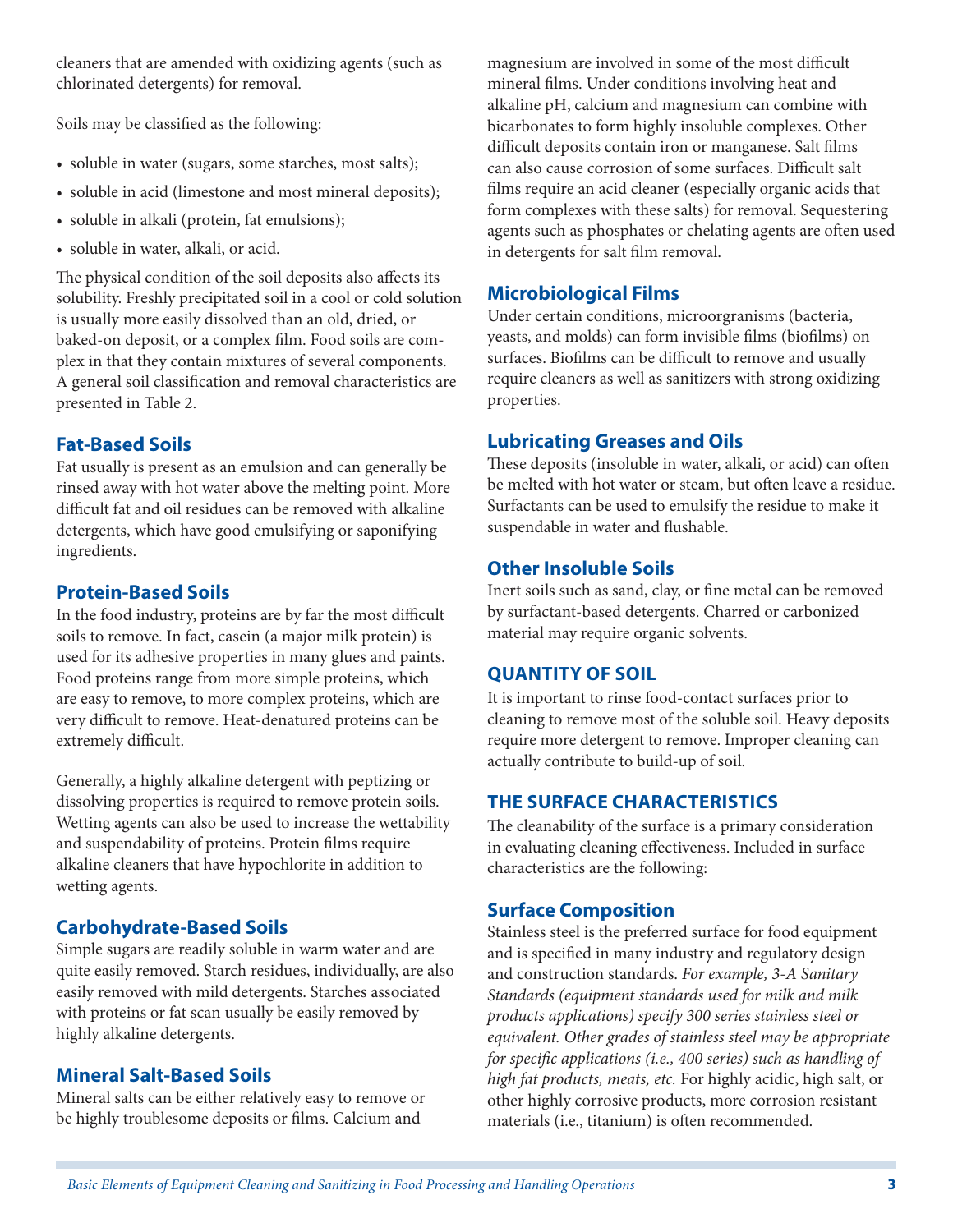cleaners that are amended with oxidizing agents (such as chlorinated detergents) for removal.

Soils may be classified as the following:

- soluble in water (sugars, some starches, most salts);
- soluble in acid (limestone and most mineral deposits);
- soluble in alkali (protein, fat emulsions);
- soluble in water, alkali, or acid.

The physical condition of the soil deposits also affects its solubility. Freshly precipitated soil in a cool or cold solution is usually more easily dissolved than an old, dried, or baked-on deposit, or a complex film. Food soils are complex in that they contain mixtures of several components. A general soil classification and removal characteristics are presented in Table 2.

## **Fat-Based Soils**

Fat usually is present as an emulsion and can generally be rinsed away with hot water above the melting point. More difficult fat and oil residues can be removed with alkaline detergents, which have good emulsifying or saponifying ingredients.

## **Protein-Based Soils**

In the food industry, proteins are by far the most difficult soils to remove. In fact, casein (a major milk protein) is used for its adhesive properties in many glues and paints. Food proteins range from more simple proteins, which are easy to remove, to more complex proteins, which are very difficult to remove. Heat-denatured proteins can be extremely difficult.

Generally, a highly alkaline detergent with peptizing or dissolving properties is required to remove protein soils. Wetting agents can also be used to increase the wettability and suspendability of proteins. Protein films require alkaline cleaners that have hypochlorite in addition to wetting agents.

## **Carbohydrate-Based Soils**

Simple sugars are readily soluble in warm water and are quite easily removed. Starch residues, individually, are also easily removed with mild detergents. Starches associated with proteins or fat scan usually be easily removed by highly alkaline detergents.

## **Mineral Salt-Based Soils**

Mineral salts can be either relatively easy to remove or be highly troublesome deposits or films. Calcium and

magnesium are involved in some of the most difficult mineral films. Under conditions involving heat and alkaline pH, calcium and magnesium can combine with bicarbonates to form highly insoluble complexes. Other difficult deposits contain iron or manganese. Salt films can also cause corrosion of some surfaces. Difficult salt films require an acid cleaner (especially organic acids that form complexes with these salts) for removal. Sequestering agents such as phosphates or chelating agents are often used in detergents for salt film removal.

## **Microbiological Films**

Under certain conditions, microorgranisms (bacteria, yeasts, and molds) can form invisible films (biofilms) on surfaces. Biofilms can be difficult to remove and usually require cleaners as well as sanitizers with strong oxidizing properties.

## **Lubricating Greases and Oils**

These deposits (insoluble in water, alkali, or acid) can often be melted with hot water or steam, but often leave a residue. Surfactants can be used to emulsify the residue to make it suspendable in water and flushable.

## **Other Insoluble Soils**

Inert soils such as sand, clay, or fine metal can be removed by surfactant-based detergents. Charred or carbonized material may require organic solvents.

## **QUANTITY OF SOIL**

It is important to rinse food-contact surfaces prior to cleaning to remove most of the soluble soil. Heavy deposits require more detergent to remove. Improper cleaning can actually contribute to build-up of soil.

## **THE SURFACE CHARACTERISTICS**

The cleanability of the surface is a primary consideration in evaluating cleaning effectiveness. Included in surface characteristics are the following:

## **Surface Composition**

Stainless steel is the preferred surface for food equipment and is specified in many industry and regulatory design and construction standards. *For example, 3-A Sanitary Standards (equipment standards used for milk and milk products applications) specify 300 series stainless steel or equivalent. Other grades of stainless steel may be appropriate for specific applications (i.e., 400 series) such as handling of high fat products, meats, etc.* For highly acidic, high salt, or other highly corrosive products, more corrosion resistant materials (i.e., titanium) is often recommended.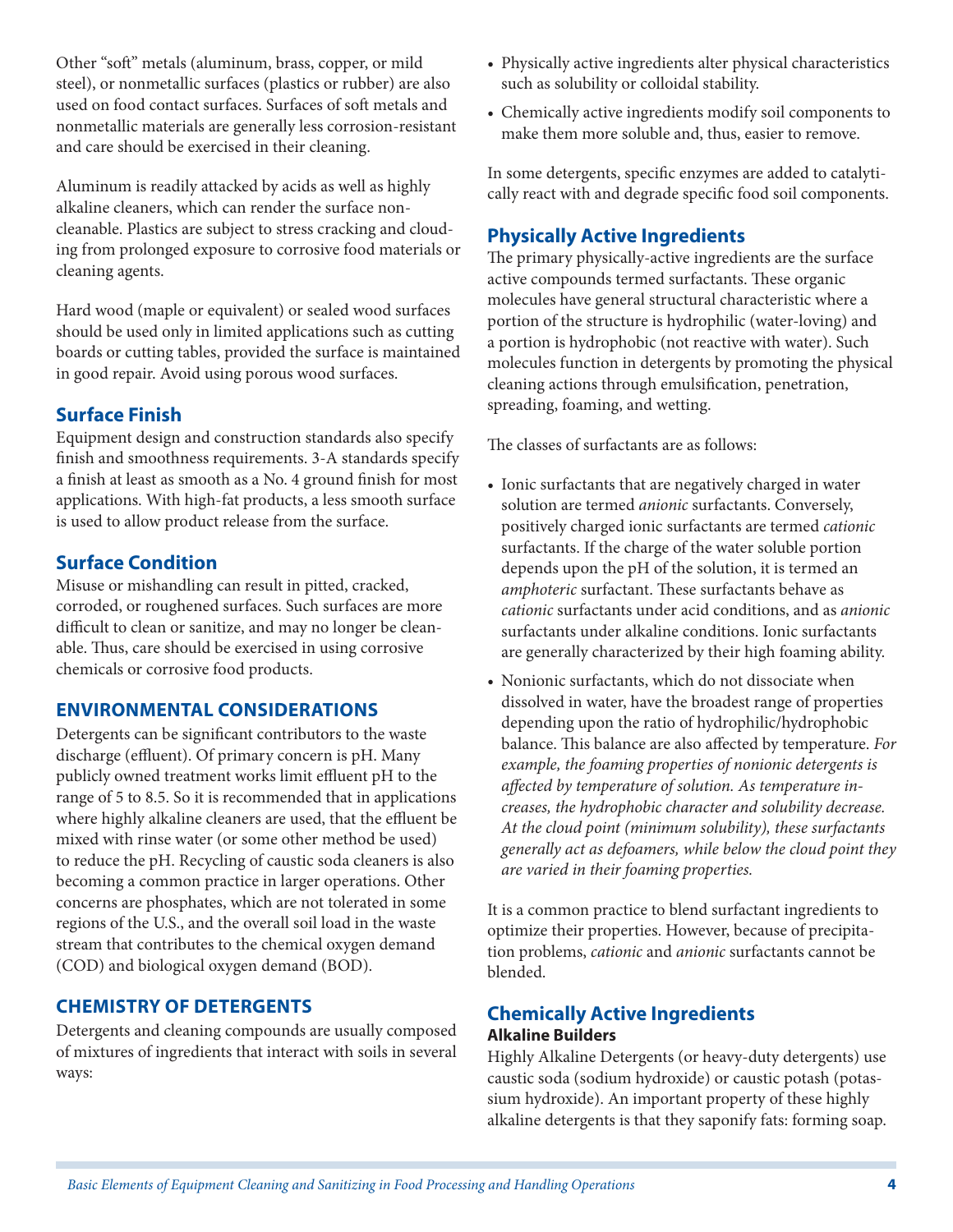Other "soft" metals (aluminum, brass, copper, or mild steel), or nonmetallic surfaces (plastics or rubber) are also used on food contact surfaces. Surfaces of soft metals and nonmetallic materials are generally less corrosion-resistant and care should be exercised in their cleaning.

Aluminum is readily attacked by acids as well as highly alkaline cleaners, which can render the surface noncleanable. Plastics are subject to stress cracking and clouding from prolonged exposure to corrosive food materials or cleaning agents.

Hard wood (maple or equivalent) or sealed wood surfaces should be used only in limited applications such as cutting boards or cutting tables, provided the surface is maintained in good repair. Avoid using porous wood surfaces.

## **Surface Finish**

Equipment design and construction standards also specify finish and smoothness requirements. 3-A standards specify a finish at least as smooth as a No. 4 ground finish for most applications. With high-fat products, a less smooth surface is used to allow product release from the surface.

## **Surface Condition**

Misuse or mishandling can result in pitted, cracked, corroded, or roughened surfaces. Such surfaces are more difficult to clean or sanitize, and may no longer be cleanable. Thus, care should be exercised in using corrosive chemicals or corrosive food products.

## **ENVIRONMENTAL CONSIDERATIONS**

Detergents can be significant contributors to the waste discharge (effluent). Of primary concern is pH. Many publicly owned treatment works limit effluent pH to the range of 5 to 8.5. So it is recommended that in applications where highly alkaline cleaners are used, that the effluent be mixed with rinse water (or some other method be used) to reduce the pH. Recycling of caustic soda cleaners is also becoming a common practice in larger operations. Other concerns are phosphates, which are not tolerated in some regions of the U.S., and the overall soil load in the waste stream that contributes to the chemical oxygen demand (COD) and biological oxygen demand (BOD).

## **CHEMISTRY OF DETERGENTS**

Detergents and cleaning compounds are usually composed of mixtures of ingredients that interact with soils in several ways:

- Physically active ingredients alter physical characteristics such as solubility or colloidal stability.
- Chemically active ingredients modify soil components to make them more soluble and, thus, easier to remove.

In some detergents, specific enzymes are added to catalytically react with and degrade specific food soil components.

### **Physically Active Ingredients**

The primary physically-active ingredients are the surface active compounds termed surfactants. These organic molecules have general structural characteristic where a portion of the structure is hydrophilic (water-loving) and a portion is hydrophobic (not reactive with water). Such molecules function in detergents by promoting the physical cleaning actions through emulsification, penetration, spreading, foaming, and wetting.

The classes of surfactants are as follows:

- Ionic surfactants that are negatively charged in water solution are termed *anionic* surfactants. Conversely, positively charged ionic surfactants are termed *cationic*  surfactants. If the charge of the water soluble portion depends upon the pH of the solution, it is termed an *amphoteric* surfactant. These surfactants behave as *cationic* surfactants under acid conditions, and as *anionic*  surfactants under alkaline conditions. Ionic surfactants are generally characterized by their high foaming ability.
- Nonionic surfactants, which do not dissociate when dissolved in water, have the broadest range of properties depending upon the ratio of hydrophilic/hydrophobic balance. This balance are also affected by temperature. *For example, the foaming properties of nonionic detergents is affected by temperature of solution. As temperature increases, the hydrophobic character and solubility decrease. At the cloud point (minimum solubility), these surfactants generally act as defoamers, while below the cloud point they are varied in their foaming properties.*

It is a common practice to blend surfactant ingredients to optimize their properties. However, because of precipitation problems, *cationic* and *anionic* surfactants cannot be blended.

## **Chemically Active Ingredients Alkaline Builders**

Highly Alkaline Detergents (or heavy-duty detergents) use caustic soda (sodium hydroxide) or caustic potash (potassium hydroxide). An important property of these highly alkaline detergents is that they saponify fats: forming soap.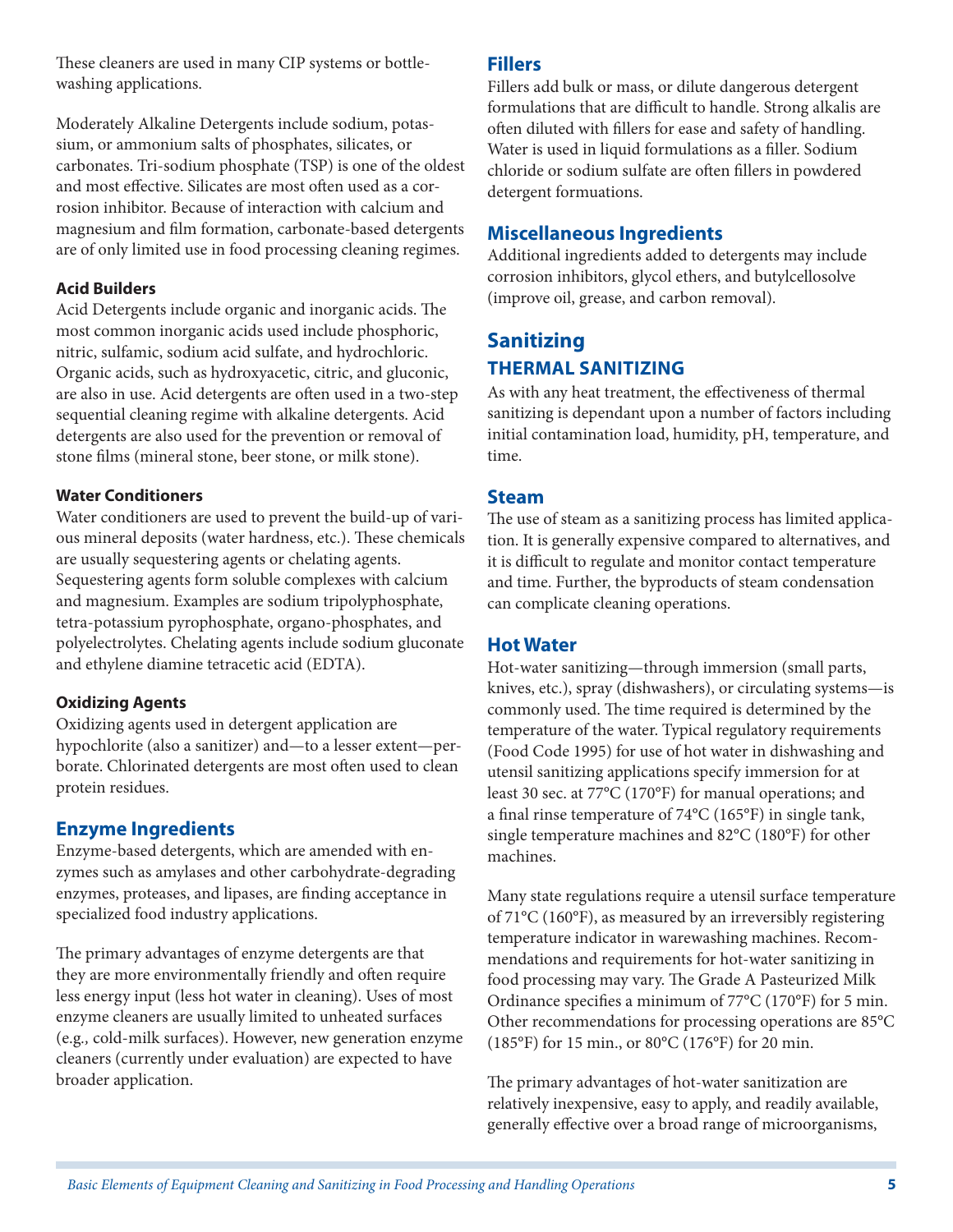These cleaners are used in many CIP systems or bottlewashing applications.

Moderately Alkaline Detergents include sodium, potassium, or ammonium salts of phosphates, silicates, or carbonates. Tri-sodium phosphate (TSP) is one of the oldest and most effective. Silicates are most often used as a corrosion inhibitor. Because of interaction with calcium and magnesium and film formation, carbonate-based detergents are of only limited use in food processing cleaning regimes.

#### **Acid Builders**

Acid Detergents include organic and inorganic acids. The most common inorganic acids used include phosphoric, nitric, sulfamic, sodium acid sulfate, and hydrochloric. Organic acids, such as hydroxyacetic, citric, and gluconic, are also in use. Acid detergents are often used in a two-step sequential cleaning regime with alkaline detergents. Acid detergents are also used for the prevention or removal of stone films (mineral stone, beer stone, or milk stone).

#### **Water Conditioners**

Water conditioners are used to prevent the build-up of various mineral deposits (water hardness, etc.). These chemicals are usually sequestering agents or chelating agents. Sequestering agents form soluble complexes with calcium and magnesium. Examples are sodium tripolyphosphate, tetra-potassium pyrophosphate, organo-phosphates, and polyelectrolytes. Chelating agents include sodium gluconate and ethylene diamine tetracetic acid (EDTA).

#### **Oxidizing Agents**

Oxidizing agents used in detergent application are hypochlorite (also a sanitizer) and—to a lesser extent—perborate. Chlorinated detergents are most often used to clean protein residues.

#### **Enzyme Ingredients**

Enzyme-based detergents, which are amended with enzymes such as amylases and other carbohydrate-degrading enzymes, proteases, and lipases, are finding acceptance in specialized food industry applications.

The primary advantages of enzyme detergents are that they are more environmentally friendly and often require less energy input (less hot water in cleaning). Uses of most enzyme cleaners are usually limited to unheated surfaces (e.g*.,* cold-milk surfaces). However, new generation enzyme cleaners (currently under evaluation) are expected to have broader application.

#### **Fillers**

Fillers add bulk or mass, or dilute dangerous detergent formulations that are difficult to handle. Strong alkalis are often diluted with fillers for ease and safety of handling. Water is used in liquid formulations as a filler. Sodium chloride or sodium sulfate are often fillers in powdered detergent formuations.

### **Miscellaneous Ingredients**

Additional ingredients added to detergents may include corrosion inhibitors, glycol ethers, and butylcellosolve (improve oil, grease, and carbon removal).

## **Sanitizing THERMAL SANITIZING**

As with any heat treatment, the effectiveness of thermal sanitizing is dependant upon a number of factors including initial contamination load, humidity, pH, temperature, and time.

#### **Steam**

The use of steam as a sanitizing process has limited application. It is generally expensive compared to alternatives, and it is difficult to regulate and monitor contact temperature and time. Further, the byproducts of steam condensation can complicate cleaning operations.

#### **Hot Water**

Hot-water sanitizing—through immersion (small parts, knives, etc.), spray (dishwashers), or circulating systems—is commonly used. The time required is determined by the temperature of the water. Typical regulatory requirements (Food Code 1995) for use of hot water in dishwashing and utensil sanitizing applications specify immersion for at least 30 sec. at 77°C (170°F) for manual operations; and a final rinse temperature of 74°C (165°F) in single tank, single temperature machines and 82°C (180°F) for other machines.

Many state regulations require a utensil surface temperature of 71°C (160°F), as measured by an irreversibly registering temperature indicator in warewashing machines. Recommendations and requirements for hot-water sanitizing in food processing may vary. The Grade A Pasteurized Milk Ordinance specifies a minimum of 77°C (170°F) for 5 min. Other recommendations for processing operations are 85°C (185°F) for 15 min., or 80°C (176°F) for 20 min.

The primary advantages of hot-water sanitization are relatively inexpensive, easy to apply, and readily available, generally effective over a broad range of microorganisms,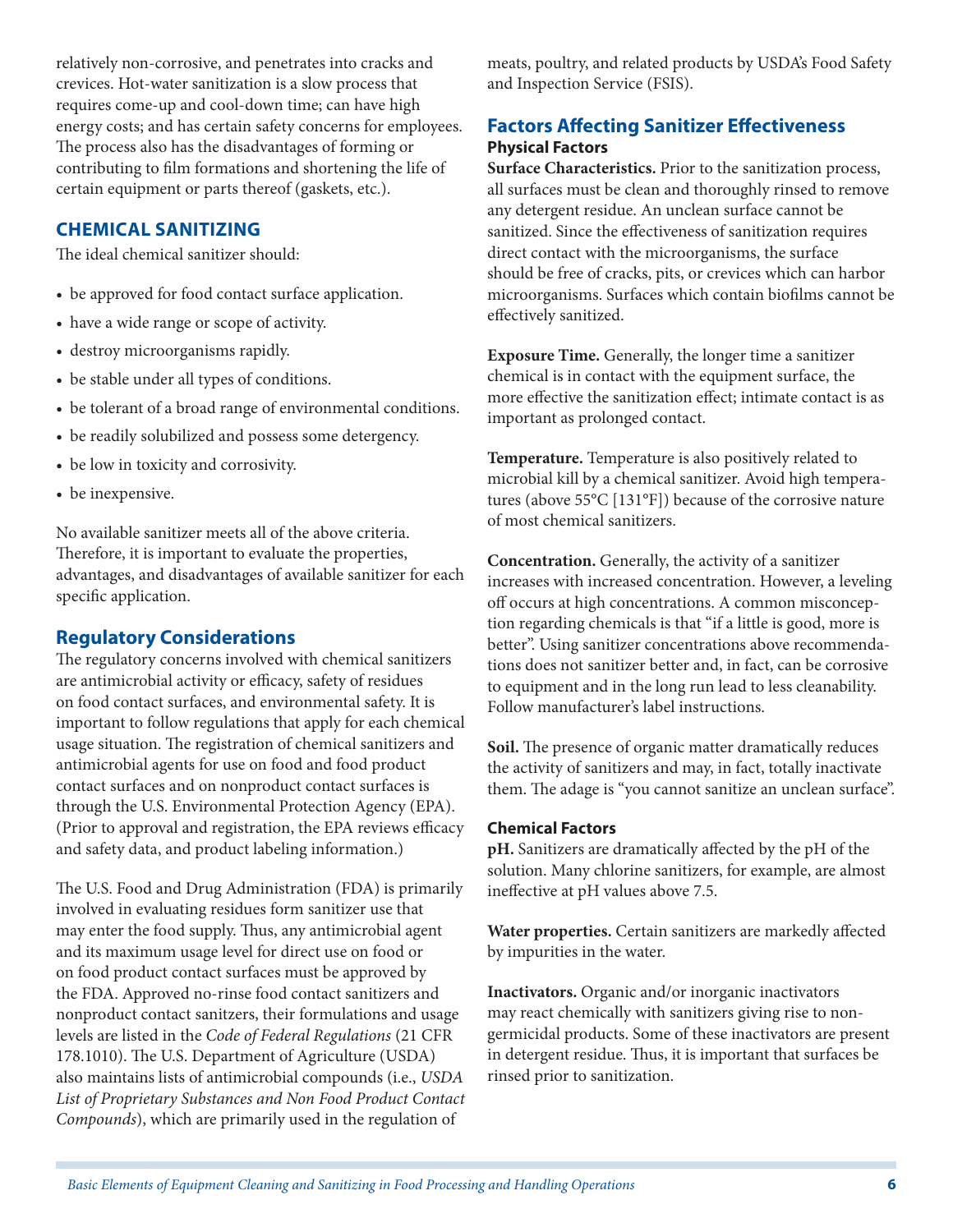relatively non-corrosive, and penetrates into cracks and crevices. Hot-water sanitization is a slow process that requires come-up and cool-down time; can have high energy costs; and has certain safety concerns for employees. The process also has the disadvantages of forming or contributing to film formations and shortening the life of certain equipment or parts thereof (gaskets, etc.).

#### **CHEMICAL SANITIZING**

The ideal chemical sanitizer should:

- be approved for food contact surface application.
- have a wide range or scope of activity.
- destroy microorganisms rapidly.
- be stable under all types of conditions.
- be tolerant of a broad range of environmental conditions.
- be readily solubilized and possess some detergency.
- be low in toxicity and corrosivity.
- be inexpensive.

No available sanitizer meets all of the above criteria. Therefore, it is important to evaluate the properties, advantages, and disadvantages of available sanitizer for each specific application.

#### **Regulatory Considerations**

The regulatory concerns involved with chemical sanitizers are antimicrobial activity or efficacy, safety of residues on food contact surfaces, and environmental safety. It is important to follow regulations that apply for each chemical usage situation. The registration of chemical sanitizers and antimicrobial agents for use on food and food product contact surfaces and on nonproduct contact surfaces is through the U.S. Environmental Protection Agency (EPA). (Prior to approval and registration, the EPA reviews efficacy and safety data, and product labeling information.)

The U.S. Food and Drug Administration (FDA) is primarily involved in evaluating residues form sanitizer use that may enter the food supply. Thus, any antimicrobial agent and its maximum usage level for direct use on food or on food product contact surfaces must be approved by the FDA. Approved no-rinse food contact sanitizers and nonproduct contact sanitzers, their formulations and usage levels are listed in the *Code of Federal Regulations* (21 CFR 178.1010). The U.S. Department of Agriculture (USDA) also maintains lists of antimicrobial compounds (i.e., *USDA List of Proprietary Substances and Non Food Product Contact Compounds*), which are primarily used in the regulation of

meats, poultry, and related products by USDA's Food Safety and Inspection Service (FSIS).

### **Factors Affecting Sanitizer Effectiveness Physical Factors**

**Surface Characteristics.** Prior to the sanitization process, all surfaces must be clean and thoroughly rinsed to remove any detergent residue. An unclean surface cannot be sanitized. Since the effectiveness of sanitization requires direct contact with the microorganisms, the surface should be free of cracks, pits, or crevices which can harbor microorganisms. Surfaces which contain biofilms cannot be effectively sanitized.

**Exposure Time.** Generally, the longer time a sanitizer chemical is in contact with the equipment surface, the more effective the sanitization effect; intimate contact is as important as prolonged contact.

**Temperature.** Temperature is also positively related to microbial kill by a chemical sanitizer. Avoid high temperatures (above 55°C [131°F]) because of the corrosive nature of most chemical sanitizers.

**Concentration.** Generally, the activity of a sanitizer increases with increased concentration. However, a leveling off occurs at high concentrations. A common misconception regarding chemicals is that "if a little is good, more is better". Using sanitizer concentrations above recommendations does not sanitizer better and, in fact, can be corrosive to equipment and in the long run lead to less cleanability. Follow manufacturer's label instructions.

**Soil.** The presence of organic matter dramatically reduces the activity of sanitizers and may, in fact, totally inactivate them. The adage is "you cannot sanitize an unclean surface".

#### **Chemical Factors**

**pH.** Sanitizers are dramatically affected by the pH of the solution. Many chlorine sanitizers, for example, are almost ineffective at pH values above 7.5.

**Water properties.** Certain sanitizers are markedly affected by impurities in the water.

**Inactivators.** Organic and/or inorganic inactivators may react chemically with sanitizers giving rise to nongermicidal products. Some of these inactivators are present in detergent residue. Thus, it is important that surfaces be rinsed prior to sanitization.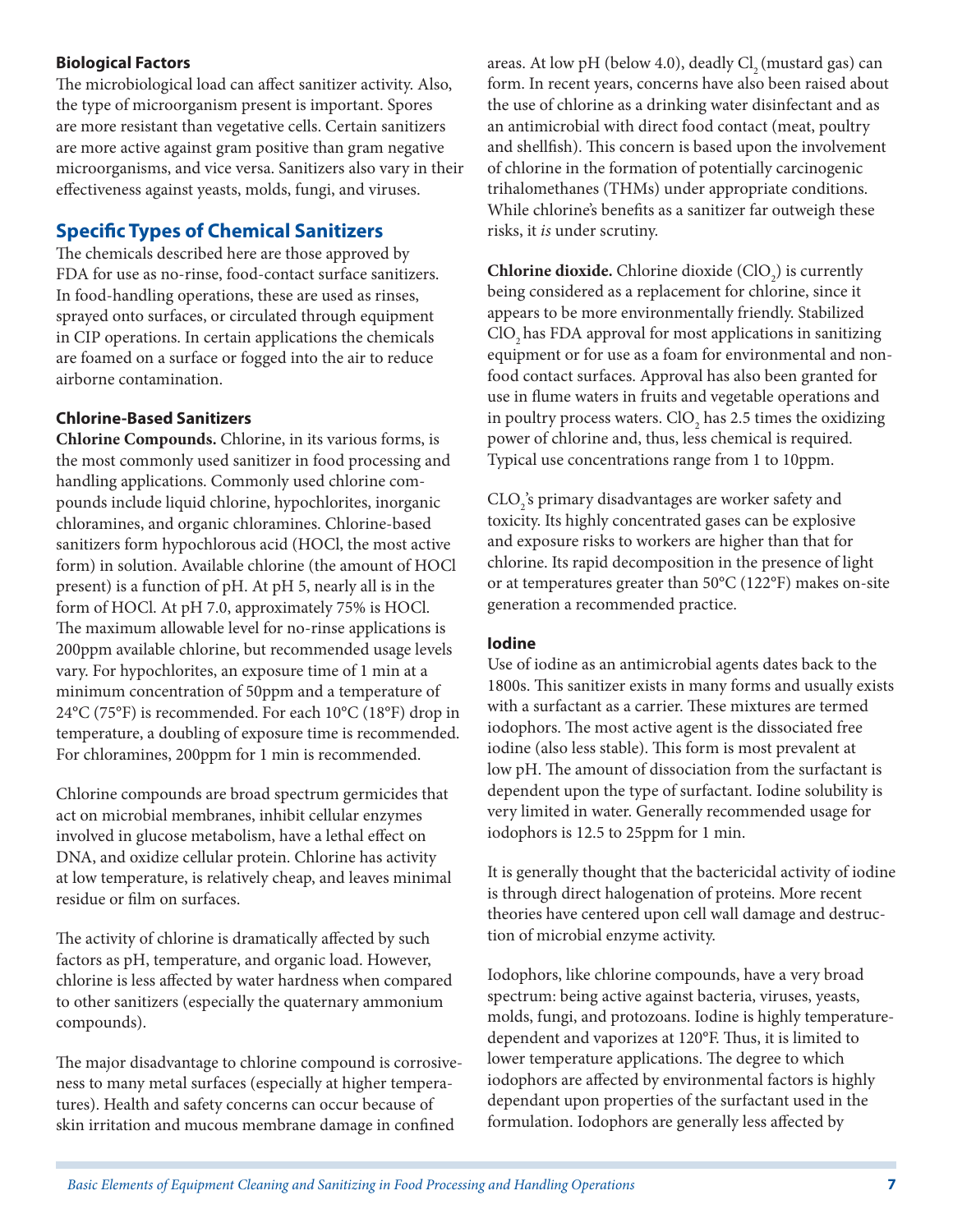#### **Biological Factors**

The microbiological load can affect sanitizer activity. Also, the type of microorganism present is important. Spores are more resistant than vegetative cells. Certain sanitizers are more active against gram positive than gram negative microorganisms, and vice versa. Sanitizers also vary in their effectiveness against yeasts, molds, fungi, and viruses.

## **Specific Types of Chemical Sanitizers**

The chemicals described here are those approved by FDA for use as no-rinse, food-contact surface sanitizers. In food-handling operations, these are used as rinses, sprayed onto surfaces, or circulated through equipment in CIP operations. In certain applications the chemicals are foamed on a surface or fogged into the air to reduce airborne contamination.

#### **Chlorine-Based Sanitizers**

**Chlorine Compounds.** Chlorine, in its various forms, is the most commonly used sanitizer in food processing and handling applications. Commonly used chlorine compounds include liquid chlorine, hypochlorites, inorganic chloramines, and organic chloramines. Chlorine-based sanitizers form hypochlorous acid (HOCl, the most active form) in solution. Available chlorine (the amount of HOCl present) is a function of pH. At pH 5, nearly all is in the form of HOCl. At pH 7.0, approximately 75% is HOCl. The maximum allowable level for no-rinse applications is 200ppm available chlorine, but recommended usage levels vary. For hypochlorites, an exposure time of 1 min at a minimum concentration of 50ppm and a temperature of 24°C (75°F) is recommended. For each 10°C (18°F) drop in temperature, a doubling of exposure time is recommended. For chloramines, 200ppm for 1 min is recommended.

Chlorine compounds are broad spectrum germicides that act on microbial membranes, inhibit cellular enzymes involved in glucose metabolism, have a lethal effect on DNA, and oxidize cellular protein. Chlorine has activity at low temperature, is relatively cheap, and leaves minimal residue or film on surfaces.

The activity of chlorine is dramatically affected by such factors as pH, temperature, and organic load. However, chlorine is less affected by water hardness when compared to other sanitizers (especially the quaternary ammonium compounds).

The major disadvantage to chlorine compound is corrosiveness to many metal surfaces (especially at higher temperatures). Health and safety concerns can occur because of skin irritation and mucous membrane damage in confined

areas. At low pH (below 4.0), deadly  $Cl<sub>2</sub>$  (mustard gas) can form. In recent years, concerns have also been raised about the use of chlorine as a drinking water disinfectant and as an antimicrobial with direct food contact (meat, poultry and shellfish). This concern is based upon the involvement of chlorine in the formation of potentially carcinogenic trihalomethanes (THMs) under appropriate conditions. While chlorine's benefits as a sanitizer far outweigh these risks, it *is* under scrutiny.

**Chlorine dioxide.** Chlorine dioxide (ClO<sub>2</sub>) is currently being considered as a replacement for chlorine, since it appears to be more environmentally friendly. Stabilized ClO<sub>2</sub> has FDA approval for most applications in sanitizing equipment or for use as a foam for environmental and nonfood contact surfaces. Approval has also been granted for use in flume waters in fruits and vegetable operations and in poultry process waters. ClO<sub>2</sub> has 2.5 times the oxidizing power of chlorine and, thus, less chemical is required. Typical use concentrations range from 1 to 10ppm.

 $\rm CLO_{2}$  is primary disadvantages are worker safety and toxicity. Its highly concentrated gases can be explosive and exposure risks to workers are higher than that for chlorine. Its rapid decomposition in the presence of light or at temperatures greater than 50°C (122°F) makes on-site generation a recommended practice.

#### **Iodine**

Use of iodine as an antimicrobial agents dates back to the 1800s. This sanitizer exists in many forms and usually exists with a surfactant as a carrier. These mixtures are termed iodophors. The most active agent is the dissociated free iodine (also less stable). This form is most prevalent at low pH. The amount of dissociation from the surfactant is dependent upon the type of surfactant. Iodine solubility is very limited in water. Generally recommended usage for iodophors is 12.5 to 25ppm for 1 min.

It is generally thought that the bactericidal activity of iodine is through direct halogenation of proteins. More recent theories have centered upon cell wall damage and destruction of microbial enzyme activity.

Iodophors, like chlorine compounds, have a very broad spectrum: being active against bacteria, viruses, yeasts, molds, fungi, and protozoans. Iodine is highly temperaturedependent and vaporizes at 120°F. Thus, it is limited to lower temperature applications. The degree to which iodophors are affected by environmental factors is highly dependant upon properties of the surfactant used in the formulation. Iodophors are generally less affected by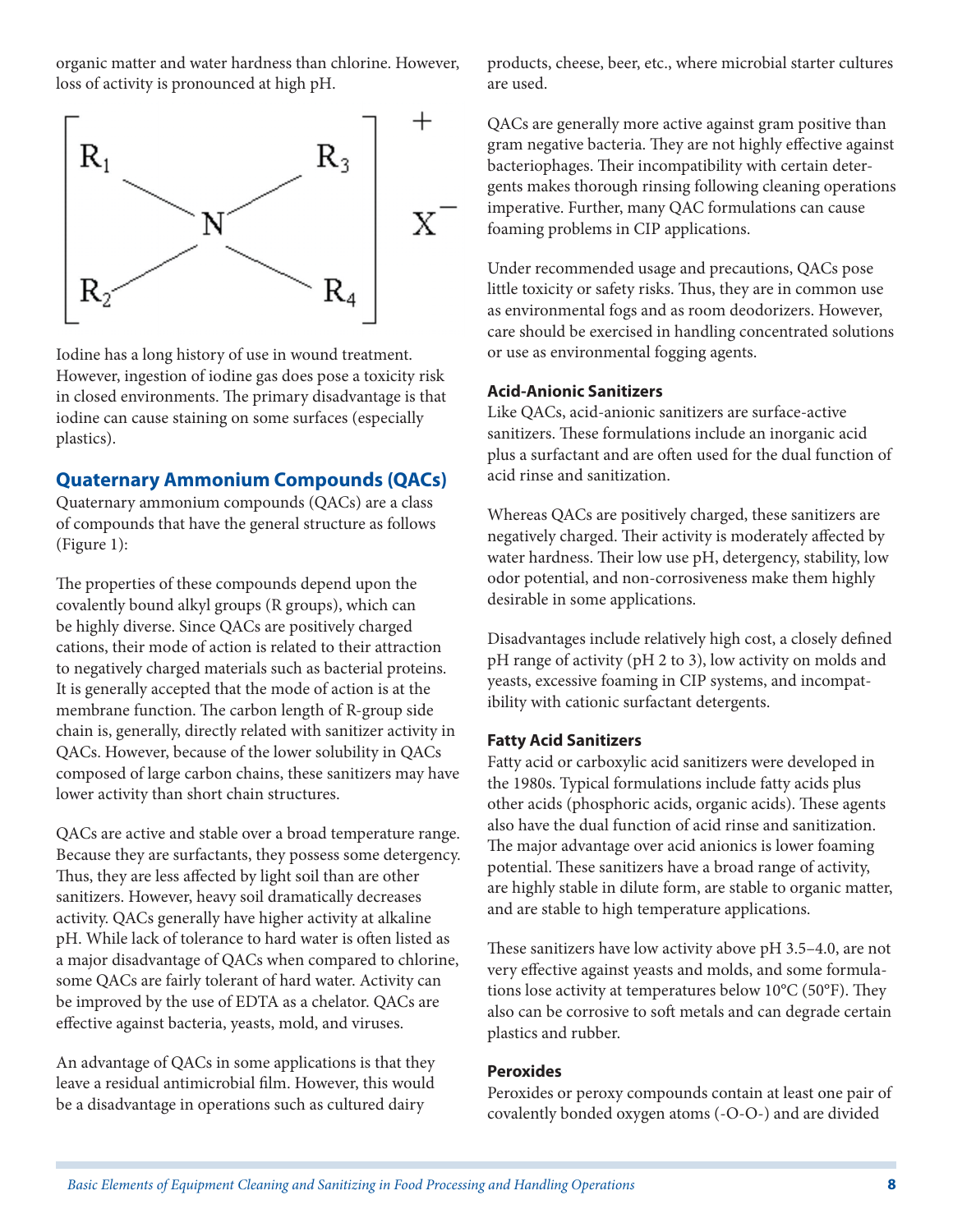organic matter and water hardness than chlorine. However, loss of activity is pronounced at high pH.



Iodine has a long history of use in wound treatment. However, ingestion of iodine gas does pose a toxicity risk in closed environments. The primary disadvantage is that iodine can cause staining on some surfaces (especially plastics).

#### **Quaternary Ammonium Compounds (QACs)**

Quaternary ammonium compounds (QACs) are a class of compounds that have the general structure as follows (Figure 1):

The properties of these compounds depend upon the covalently bound alkyl groups (R groups), which can be highly diverse. Since QACs are positively charged cations, their mode of action is related to their attraction to negatively charged materials such as bacterial proteins. It is generally accepted that the mode of action is at the membrane function. The carbon length of R-group side chain is, generally, directly related with sanitizer activity in QACs. However, because of the lower solubility in QACs composed of large carbon chains, these sanitizers may have lower activity than short chain structures.

QACs are active and stable over a broad temperature range. Because they are surfactants, they possess some detergency. Thus, they are less affected by light soil than are other sanitizers. However, heavy soil dramatically decreases activity. QACs generally have higher activity at alkaline pH. While lack of tolerance to hard water is often listed as a major disadvantage of QACs when compared to chlorine, some QACs are fairly tolerant of hard water. Activity can be improved by the use of EDTA as a chelator. QACs are effective against bacteria, yeasts, mold, and viruses.

An advantage of QACs in some applications is that they leave a residual antimicrobial film. However, this would be a disadvantage in operations such as cultured dairy

products, cheese, beer, etc., where microbial starter cultures are used.

QACs are generally more active against gram positive than gram negative bacteria. They are not highly effective against bacteriophages. Their incompatibility with certain detergents makes thorough rinsing following cleaning operations imperative. Further, many QAC formulations can cause foaming problems in CIP applications.

Under recommended usage and precautions, QACs pose little toxicity or safety risks. Thus, they are in common use as environmental fogs and as room deodorizers. However, care should be exercised in handling concentrated solutions or use as environmental fogging agents.

#### **Acid-Anionic Sanitizers**

Like QACs, acid-anionic sanitizers are surface-active sanitizers. These formulations include an inorganic acid plus a surfactant and are often used for the dual function of acid rinse and sanitization.

Whereas QACs are positively charged, these sanitizers are negatively charged. Their activity is moderately affected by water hardness. Their low use pH, detergency, stability, low odor potential, and non-corrosiveness make them highly desirable in some applications.

Disadvantages include relatively high cost, a closely defined pH range of activity (pH 2 to 3), low activity on molds and yeasts, excessive foaming in CIP systems, and incompatibility with cationic surfactant detergents.

#### **Fatty Acid Sanitizers**

Fatty acid or carboxylic acid sanitizers were developed in the 1980s. Typical formulations include fatty acids plus other acids (phosphoric acids, organic acids). These agents also have the dual function of acid rinse and sanitization. The major advantage over acid anionics is lower foaming potential. These sanitizers have a broad range of activity, are highly stable in dilute form, are stable to organic matter, and are stable to high temperature applications.

These sanitizers have low activity above pH 3.5–4.0, are not very effective against yeasts and molds, and some formulations lose activity at temperatures below 10°C (50°F). They also can be corrosive to soft metals and can degrade certain plastics and rubber.

#### **Peroxides**

Peroxides or peroxy compounds contain at least one pair of covalently bonded oxygen atoms (-O-O-) and are divided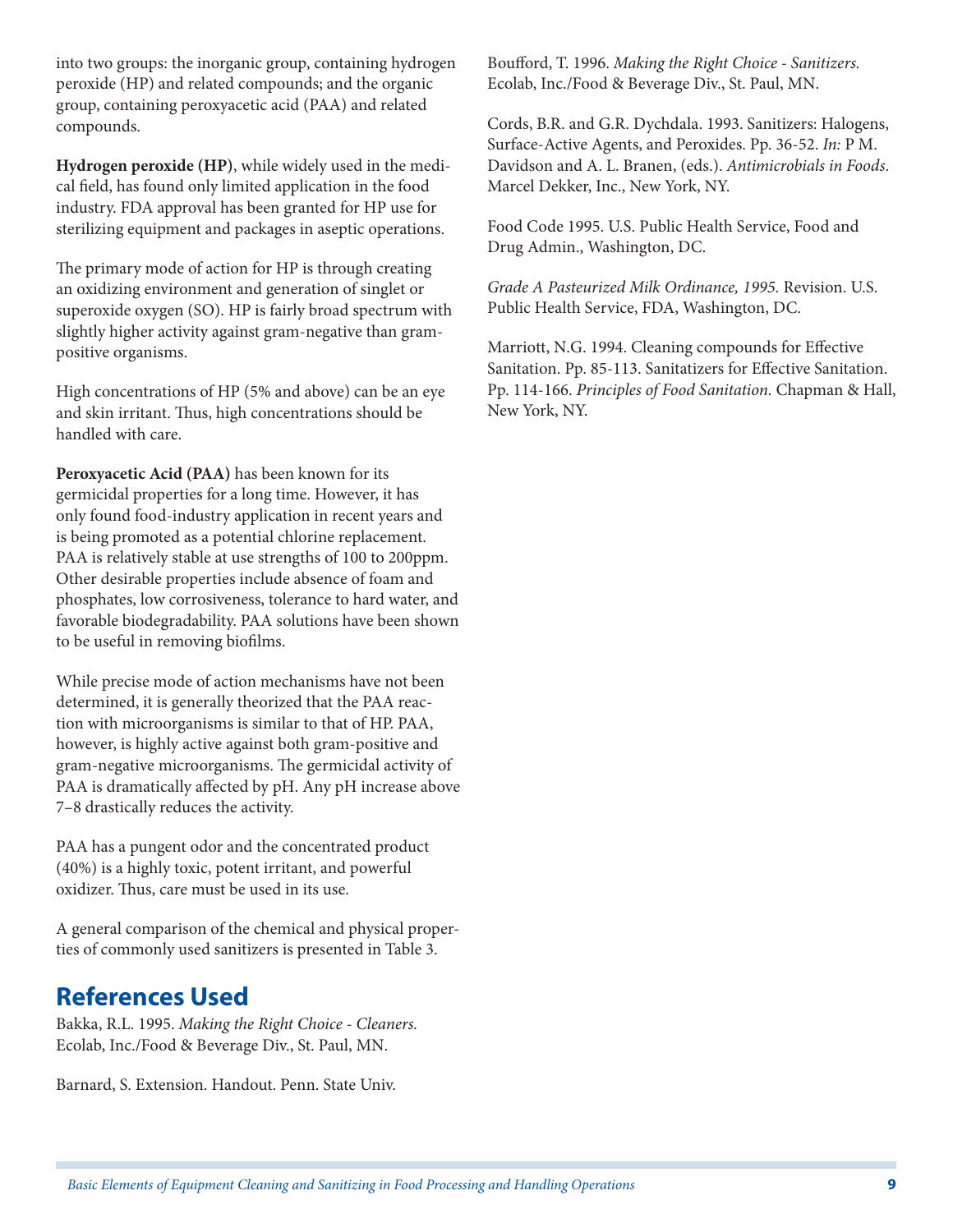into two groups: the inorganic group, containing hydrogen peroxide (HP) and related compounds; and the organic group, containing peroxyacetic acid (PAA) and related compounds.

**Hydrogen peroxide (HP)**, while widely used in the medical field, has found only limited application in the food industry. FDA approval has been granted for HP use for sterilizing equipment and packages in aseptic operations.

The primary mode of action for HP is through creating an oxidizing environment and generation of singlet or superoxide oxygen (SO). HP is fairly broad spectrum with slightly higher activity against gram-negative than grampositive organisms.

High concentrations of HP (5% and above) can be an eye and skin irritant. Thus, high concentrations should be handled with care.

**Peroxyacetic Acid (PAA)** has been known for its germicidal properties for a long time. However, it has only found food-industry application in recent years and is being promoted as a potential chlorine replacement. PAA is relatively stable at use strengths of 100 to 200ppm. Other desirable properties include absence of foam and phosphates, low corrosiveness, tolerance to hard water, and favorable biodegradability. PAA solutions have been shown to be useful in removing biofilms.

While precise mode of action mechanisms have not been determined, it is generally theorized that the PAA reaction with microorganisms is similar to that of HP. PAA, however, is highly active against both gram-positive and gram-negative microorganisms. The germicidal activity of PAA is dramatically affected by pH. Any pH increase above 7–8 drastically reduces the activity.

PAA has a pungent odor and the concentrated product (40%) is a highly toxic, potent irritant, and powerful oxidizer. Thus, care must be used in its use.

A general comparison of the chemical and physical properties of commonly used sanitizers is presented in Table 3.

# **References Used**

Bakka, R.L. 1995. *Making the Right Choice - Cleaners.*  Ecolab, Inc./Food & Beverage Div., St. Paul, MN.

Barnard, S. Extension. Handout. Penn. State Univ.

Boufford, T. 1996. *Making the Right Choice - Sanitizers.*  Ecolab, Inc./Food & Beverage Div., St. Paul, MN.

Cords, B.R. and G.R. Dychdala. 1993. Sanitizers: Halogens, Surface-Active Agents, and Peroxides. Pp. 36-52. *In:* P M. Davidson and A. L. Branen, (eds.). *Antimicrobials in Foods*. Marcel Dekker, Inc., New York, NY.

Food Code 1995. U.S. Public Health Service, Food and Drug Admin., Washington, DC.

*Grade A Pasteurized Milk Ordinance, 1995.* Revision. U.S. Public Health Service, FDA, Washington, DC.

Marriott, N.G. 1994. Cleaning compounds for Effective Sanitation. Pp. 85-113. Sanitatizers for Effective Sanitation. Pp. 114-166. *Principles of Food Sanitation.* Chapman & Hall, New York, NY.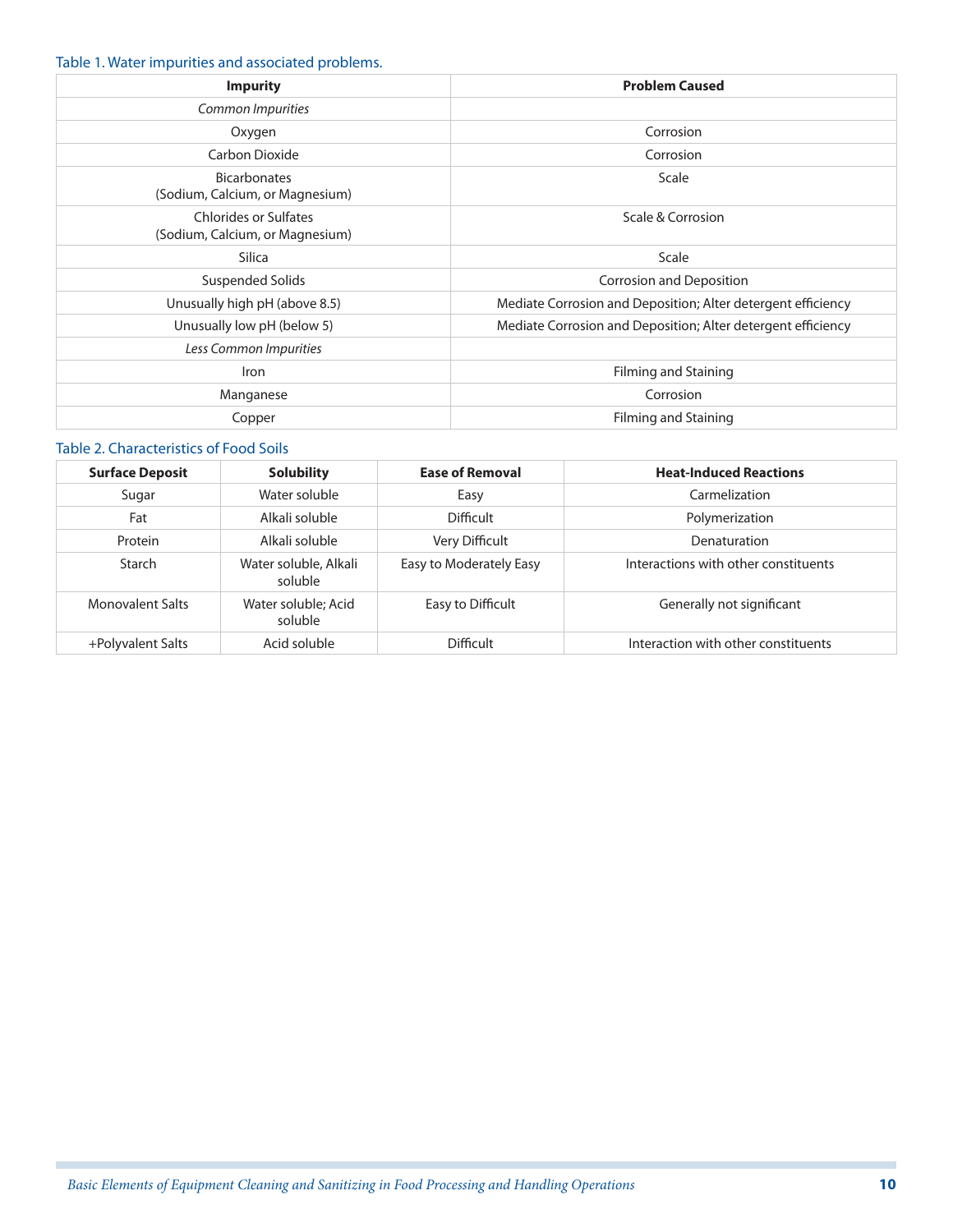#### Table 1. Water impurities and associated problems.

| <b>Impurity</b>                                                 | <b>Problem Caused</b>                                        |  |  |  |
|-----------------------------------------------------------------|--------------------------------------------------------------|--|--|--|
| Common Impurities                                               |                                                              |  |  |  |
| Oxygen                                                          | Corrosion                                                    |  |  |  |
| Carbon Dioxide                                                  | Corrosion                                                    |  |  |  |
| Bicarbonates<br>(Sodium, Calcium, or Magnesium)                 | Scale                                                        |  |  |  |
| <b>Chlorides or Sulfates</b><br>(Sodium, Calcium, or Magnesium) | Scale & Corrosion                                            |  |  |  |
| Silica                                                          | Scale                                                        |  |  |  |
| Suspended Solids                                                | <b>Corrosion and Deposition</b>                              |  |  |  |
| Unusually high pH (above 8.5)                                   | Mediate Corrosion and Deposition; Alter detergent efficiency |  |  |  |
| Unusually low pH (below 5)                                      | Mediate Corrosion and Deposition; Alter detergent efficiency |  |  |  |
| Less Common Impurities                                          |                                                              |  |  |  |
| Iron                                                            | Filming and Staining                                         |  |  |  |
| Manganese                                                       | Corrosion                                                    |  |  |  |
| Copper                                                          | Filming and Staining                                         |  |  |  |

#### Table 2. Characteristics of Food Soils

| <b>Surface Deposit</b>  | <b>Solubility</b>                | <b>Ease of Removal</b>  | <b>Heat-Induced Reactions</b>        |  |
|-------------------------|----------------------------------|-------------------------|--------------------------------------|--|
| Sugar                   | Water soluble                    | Easy                    | Carmelization                        |  |
| Fat                     | Alkali soluble                   | <b>Difficult</b>        | Polymerization                       |  |
| Protein                 | Alkali soluble                   | Very Difficult          | Denaturation                         |  |
| Starch                  | Water soluble, Alkali<br>soluble | Easy to Moderately Easy | Interactions with other constituents |  |
| <b>Monovalent Salts</b> | Water soluble; Acid<br>soluble   | Easy to Difficult       | Generally not significant            |  |
| +Polyvalent Salts       | Acid soluble                     | <b>Difficult</b>        | Interaction with other constituents  |  |